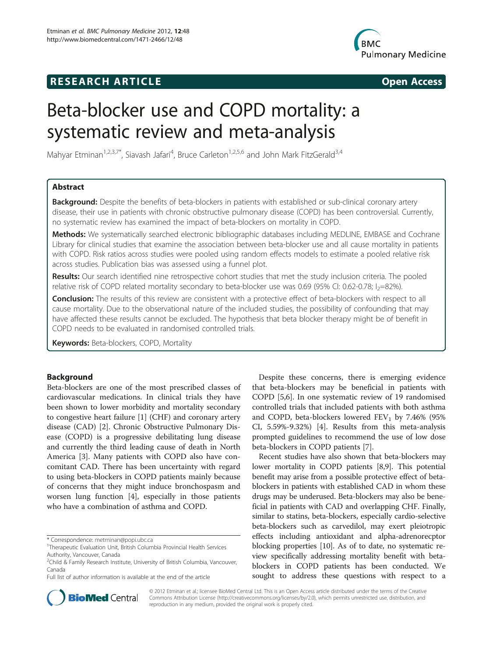## **RESEARCH ARTICLE Example 2014 CONSIDERING CONSIDERING CONSIDERING CONSIDERING CONSIDERING CONSIDERING CONSIDERING CONSIDERING CONSIDERING CONSIDERING CONSIDERING CONSIDERING CONSIDERING CONSIDERING CONSIDERING CONSIDE**



# Beta-blocker use and COPD mortality: a systematic review and meta-analysis

Mahyar Etminan<sup>1,2,3,7\*</sup>, Siavash Jafari<sup>4</sup>, Bruce Carleton<sup>1,2,5,6</sup> and John Mark FitzGerald<sup>3,4</sup>

## Abstract

**Background:** Despite the benefits of beta-blockers in patients with established or sub-clinical coronary artery disease, their use in patients with chronic obstructive pulmonary disease (COPD) has been controversial. Currently, no systematic review has examined the impact of beta-blockers on mortality in COPD.

Methods: We systematically searched electronic bibliographic databases including MEDLINE, EMBASE and Cochrane Library for clinical studies that examine the association between beta-blocker use and all cause mortality in patients with COPD. Risk ratios across studies were pooled using random effects models to estimate a pooled relative risk across studies. Publication bias was assessed using a funnel plot.

Results: Our search identified nine retrospective cohort studies that met the study inclusion criteria. The pooled relative risk of COPD related mortality secondary to beta-blocker use was 0.69 (95% CI: 0.62-0.78;  $I_2$ =82%).

Conclusion: The results of this review are consistent with a protective effect of beta-blockers with respect to all cause mortality. Due to the observational nature of the included studies, the possibility of confounding that may have affected these results cannot be excluded. The hypothesis that beta blocker therapy might be of benefit in COPD needs to be evaluated in randomised controlled trials.

**Keywords:** Beta-blockers, COPD, Mortality

## Background

Beta-blockers are one of the most prescribed classes of cardiovascular medications. In clinical trials they have been shown to lower morbidity and mortality secondary to congestive heart failure [[1](#page-5-0)] (CHF) and coronary artery disease (CAD) [\[2\]](#page-5-0). Chronic Obstructive Pulmonary Disease (COPD) is a progressive debilitating lung disease and currently the third leading cause of death in North America [\[3](#page-5-0)]. Many patients with COPD also have concomitant CAD. There has been uncertainty with regard to using beta-blockers in COPD patients mainly because of concerns that they might induce bronchospasm and worsen lung function [[4\]](#page-5-0), especially in those patients who have a combination of asthma and COPD.



Recent studies have also shown that beta-blockers may lower mortality in COPD patients [\[8,9\]](#page-5-0). This potential benefit may arise from a possible protective effect of betablockers in patients with established CAD in whom these drugs may be underused. Beta-blockers may also be beneficial in patients with CAD and overlapping CHF. Finally, similar to statins, beta-blockers, especially cardio-selective beta-blockers such as carvedilol, may exert pleiotropic effects including antioxidant and alpha-adrenorecptor blocking properties [\[10](#page-5-0)]. As of to date, no systematic review specifically addressing mortality benefit with betablockers in COPD patients has been conducted. We sought to address these questions with respect to a



© 2012 Etminan et al.; licensee BioMed Central Ltd. This is an Open Access article distributed under the terms of the Creative Commons Attribution License [\(http://creativecommons.org/licenses/by/2.0\)](http://creativecommons.org/licenses/by/2.0), which permits unrestricted use, distribution, and reproduction in any medium, provided the original work is properly cited.

<sup>\*</sup> Correspondence: [metminan@popi.ubc.ca](mailto:metminan@popi.ubc.ca) <sup>1</sup>

Therapeutic Evaluation Unit, British Columbia Provincial Health Services Authority, Vancouver, Canada

<sup>&</sup>lt;sup>2</sup>Child & Family Research Institute, University of British Columbia, Vancouver, Canada

Full list of author information is available at the end of the article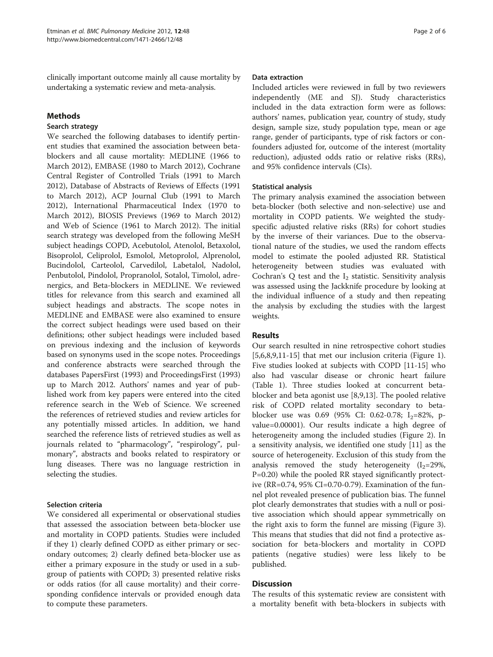clinically important outcome mainly all cause mortality by undertaking a systematic review and meta-analysis.

## Methods

## Search strategy

We searched the following databases to identify pertinent studies that examined the association between betablockers and all cause mortality: MEDLINE (1966 to March 2012), EMBASE (1980 to March 2012), Cochrane Central Register of Controlled Trials (1991 to March 2012), Database of Abstracts of Reviews of Effects (1991 to March 2012), ACP Journal Club (1991 to March 2012), International Pharmaceutical Index (1970 to March 2012), BIOSIS Previews (1969 to March 2012) and Web of Science (1961 to March 2012). The initial search strategy was developed from the following MeSH subject headings COPD, Acebutolol, Atenolol, Betaxolol, Bisoprolol, Celiprolol, Esmolol, Metoprolol, Alprenolol, Bucindolol, Carteolol, Carvedilol, Labetalol, Nadolol, Penbutolol, Pindolol, Propranolol, Sotalol, Timolol, adrenergics, and Beta-blockers in MEDLINE. We reviewed titles for relevance from this search and examined all subject headings and abstracts. The scope notes in MEDLINE and EMBASE were also examined to ensure the correct subject headings were used based on their definitions; other subject headings were included based on previous indexing and the inclusion of keywords based on synonyms used in the scope notes. Proceedings and conference abstracts were searched through the databases PapersFirst (1993) and ProceedingsFirst (1993) up to March 2012. Authors' names and year of published work from key papers were entered into the cited reference search in the Web of Science. We screened the references of retrieved studies and review articles for any potentially missed articles. In addition, we hand searched the reference lists of retrieved studies as well as journals related to "pharmacology", "respirology", pulmonary", abstracts and books related to respiratory or lung diseases. There was no language restriction in selecting the studies.

## Selection criteria

We considered all experimental or observational studies that assessed the association between beta-blocker use and mortality in COPD patients. Studies were included if they 1) clearly defined COPD as either primary or secondary outcomes; 2) clearly defined beta-blocker use as either a primary exposure in the study or used in a subgroup of patients with COPD; 3) presented relative risks or odds ratios (for all cause mortality) and their corresponding confidence intervals or provided enough data to compute these parameters.

## Data extraction

Included articles were reviewed in full by two reviewers independently (ME and SJ). Study characteristics included in the data extraction form were as follows: authors' names, publication year, country of study, study design, sample size, study population type, mean or age range, gender of participants, type of risk factors or confounders adjusted for, outcome of the interest (mortality reduction), adjusted odds ratio or relative risks (RRs), and 95% confidence intervals (CIs).

## Statistical analysis

The primary analysis examined the association between beta-blocker (both selective and non-selective) use and mortality in COPD patients. We weighted the studyspecific adjusted relative risks (RRs) for cohort studies by the inverse of their variances. Due to the observational nature of the studies, we used the random effects model to estimate the pooled adjusted RR. Statistical heterogeneity between studies was evaluated with Cochran's Q test and the  $I_2$  statistic. Sensitivity analysis was assessed using the Jackknife procedure by looking at the individual influence of a study and then repeating the analysis by excluding the studies with the largest weights.

## Results

Our search resulted in nine retrospective cohort studies [[5,6,8,9,11-15](#page-5-0)] that met our inclusion criteria (Figure [1](#page-2-0)). Five studies looked at subjects with COPD [\[11-15](#page-5-0)] who also had vascular disease or chronic heart failure (Table [1](#page-3-0)). Three studies looked at concurrent betablocker and beta agonist use [\[8,9,13](#page-5-0)]. The pooled relative risk of COPD related mortality secondary to betablocker use was 0.69 (95% CI: 0.62-0.78;  $I_2=82\%$ , pvalue=0.00001). Our results indicate a high degree of heterogeneity among the included studies (Figure [2\)](#page-4-0). In a sensitivity analysis, we identified one study [\[11](#page-5-0)] as the source of heterogeneity. Exclusion of this study from the analysis removed the study heterogeneity  $(I_2=29\%,$ P=0.20) while the pooled RR stayed significantly protective (RR=0.74, 95% CI=0.70-0.79). Examination of the funnel plot revealed presence of publication bias. The funnel plot clearly demonstrates that studies with a null or positive association which should appear symmetrically on the right axis to form the funnel are missing (Figure [3](#page-4-0)). This means that studies that did not find a protective association for beta-blockers and mortality in COPD patients (negative studies) were less likely to be published.

## Discussion

The results of this systematic review are consistent with a mortality benefit with beta-blockers in subjects with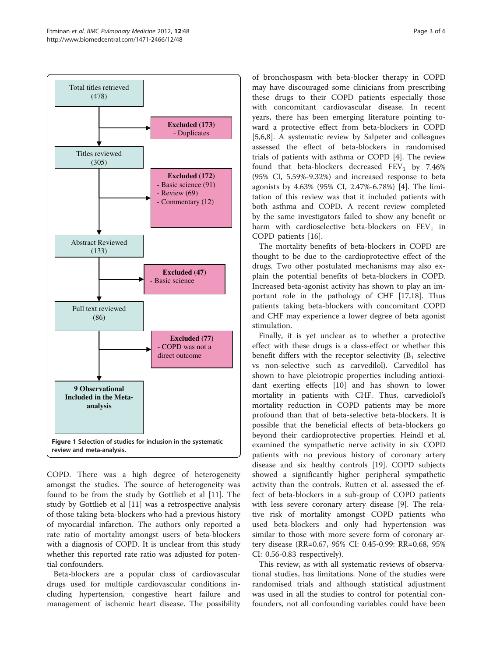<span id="page-2-0"></span>

COPD. There was a high degree of heterogeneity amongst the studies. The source of heterogeneity was found to be from the study by Gottlieb et al [\[11\]](#page-5-0). The study by Gottlieb et al [[11](#page-5-0)] was a retrospective analysis of those taking beta-blockers who had a previous history of myocardial infarction. The authors only reported a rate ratio of mortality amongst users of beta-blockers with a diagnosis of COPD. It is unclear from this study whether this reported rate ratio was adjusted for potential confounders.

Beta-blockers are a popular class of cardiovascular drugs used for multiple cardiovascular conditions including hypertension, congestive heart failure and management of ischemic heart disease. The possibility

of bronchospasm with beta-blocker therapy in COPD may have discouraged some clinicians from prescribing these drugs to their COPD patients especially those with concomitant cardiovascular disease. In recent years, there has been emerging literature pointing toward a protective effect from beta-blockers in COPD [[5,6,8\]](#page-5-0). A systematic review by Salpeter and colleagues assessed the effect of beta-blockers in randomised trials of patients with asthma or COPD [\[4\]](#page-5-0). The review found that beta-blockers decreased  $FEV<sub>1</sub>$  by 7.46% (95% CI, 5.59%-9.32%) and increased response to beta agonists by 4.63% (95% CI, 2.47%-6.78%) [[4\]](#page-5-0). The limitation of this review was that it included patients with both asthma and COPD. A recent review completed by the same investigators failed to show any benefit or harm with cardioselective beta-blockers on  $FEV<sub>1</sub>$  in COPD patients [[16\]](#page-5-0).

The mortality benefits of beta-blockers in COPD are thought to be due to the cardioprotective effect of the drugs. Two other postulated mechanisms may also explain the potential benefits of beta-blockers in COPD. Increased beta-agonist activity has shown to play an important role in the pathology of CHF [[17](#page-5-0),[18](#page-5-0)]. Thus patients taking beta-blockers with concomitant COPD and CHF may experience a lower degree of beta agonist stimulation.

Finally, it is yet unclear as to whether a protective effect with these drugs is a class-effect or whether this benefit differs with the receptor selectivity  $(B_1)$  selective vs non-selective such as carvedilol). Carvedilol has shown to have pleiotropic properties including antioxidant exerting effects [[10\]](#page-5-0) and has shown to lower mortality in patients with CHF. Thus, carvediolol's mortality reduction in COPD patients may be more profound than that of beta-selective beta-blockers. It is possible that the beneficial effects of beta-blockers go beyond their cardioprotective properties. Heindl et al. examined the sympathetic nerve activity in six COPD patients with no previous history of coronary artery disease and six healthy controls [[19\]](#page-5-0). COPD subjects showed a significantly higher peripheral sympathetic activity than the controls. Rutten et al. assessed the effect of beta-blockers in a sub-group of COPD patients with less severe coronary artery disease [[9\]](#page-5-0). The relative risk of mortality amongst COPD patients who used beta-blockers and only had hypertension was similar to those with more severe form of coronary artery disease (RR=0.67, 95% CI: 0.45-0.99: RR=0.68, 95% CI: 0.56-0.83 respectively).

This review, as with all systematic reviews of observational studies, has limitations. None of the studies were randomised trials and although statistical adjustment was used in all the studies to control for potential confounders, not all confounding variables could have been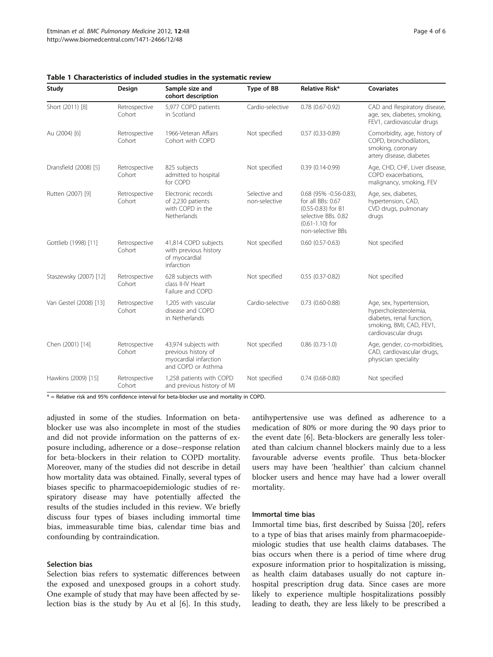| Study                  | Design                  | Sample size and<br>cohort description                                                      | Type of BB                     | Relative Risk*                                                                                                                         | <b>Covariates</b>                                                                                                                 |
|------------------------|-------------------------|--------------------------------------------------------------------------------------------|--------------------------------|----------------------------------------------------------------------------------------------------------------------------------------|-----------------------------------------------------------------------------------------------------------------------------------|
| Short (2011) [8]       | Retrospective<br>Cohort | 5,977 COPD patients<br>in Scotland                                                         | Cardio-selective               | $0.78(0.67 - 0.92)$                                                                                                                    | CAD and Respiratory disease,<br>age, sex, diabetes, smoking,<br>FEV1, cardiovascular drugs                                        |
| Au (2004) [6]          | Retrospective<br>Cohort | 1966-Veteran Affairs<br>Cohort with COPD                                                   | Not specified                  | $0.57(0.33 - 0.89)$                                                                                                                    | Comorbidity, age, history of<br>COPD, bronchodilators,<br>smoking, coronary<br>artery disease, diabetes                           |
| Dransfield (2008) [5]  | Retrospective<br>Cohort | 825 subjects<br>admitted to hospital<br>for COPD                                           | Not specified                  | $0.39(0.14-0.99)$                                                                                                                      | Age, CHD, CHF, Liver disease,<br>COPD exacerbations,<br>malignancy, smoking, FEV                                                  |
| Rutten (2007) [9]      | Retrospective<br>Cohort | Electronic records<br>of 2,230 patients<br>with COPD in the<br>Netherlands                 | Selective and<br>non-selective | $0.68$ (95% -0.56-0.83),<br>for all BBs: 0.67<br>(0.55-0.83) for B1<br>selective BBs. 0.82<br>$(0.61 - 1.10)$ for<br>non-selective BBs | Age, sex, diabetes,<br>hypertension, CAD,<br>CVD drugs, pulmonary<br>drugs                                                        |
| Gottlieb (1998) [11]   | Retrospective<br>Cohort | 41,814 COPD subjects<br>with previous history<br>of myocardial<br>infarction               | Not specified                  | $0.60(0.57-0.63)$                                                                                                                      | Not specified                                                                                                                     |
| Staszewsky (2007) [12] | Retrospective<br>Cohort | 628 subjects with<br>class II-IV Heart<br>Failure and COPD                                 | Not specified                  | $0.55(0.37-0.82)$                                                                                                                      | Not specified                                                                                                                     |
| Van Gestel (2008) [13] | Retrospective<br>Cohort | 1,205 with vascular<br>disease and COPD<br>in Netherlands                                  | Cardio-selective               | $0.73$ (0.60-0.88)                                                                                                                     | Age, sex, hypertension,<br>hypercholesterolemia,<br>diabetes, renal function,<br>smoking, BMI, CAD, FEV1,<br>cardiovascular drugs |
| Chen (2001) [14]       | Retrospective<br>Cohort | 43,974 subjects with<br>previous history of<br>myocardial infarction<br>and COPD or Asthma | Not specified                  | $0.86$ $(0.73-1.0)$                                                                                                                    | Age, gender, co-morbidities,<br>CAD, cardiovascular drugs,<br>physician speciality                                                |
| Hawkins (2009) [15]    | Retrospective<br>Cohort | 1,258 patients with COPD<br>and previous history of MI                                     | Not specified                  | $0.74(0.68-0.80)$                                                                                                                      | Not specified                                                                                                                     |

<span id="page-3-0"></span>Table 1 Characteristics of included studies in the systematic review

 $*$  = Relative risk and 95% confidence interval for beta-blocker use and mortality in COPD.

adjusted in some of the studies. Information on betablocker use was also incomplete in most of the studies and did not provide information on the patterns of exposure including, adherence or a dose–response relation for beta-blockers in their relation to COPD mortality. Moreover, many of the studies did not describe in detail how mortality data was obtained. Finally, several types of biases specific to pharmacoepidemiologic studies of respiratory disease may have potentially affected the results of the studies included in this review. We briefly discuss four types of biases including immortal time bias, immeasurable time bias, calendar time bias and confounding by contraindication.

## Selection bias

Selection bias refers to systematic differences between the exposed and unexposed groups in a cohort study. One example of study that may have been affected by selection bias is the study by Au et al [[6\]](#page-5-0). In this study, antihypertensive use was defined as adherence to a medication of 80% or more during the 90 days prior to the event date [\[6](#page-5-0)]. Beta-blockers are generally less tolerated than calcium channel blockers mainly due to a less favourable adverse events profile. Thus beta-blocker users may have been 'healthier' than calcium channel blocker users and hence may have had a lower overall mortality.

#### Immortal time bias

Immortal time bias, first described by Suissa [\[20\]](#page-5-0), refers to a type of bias that arises mainly from pharmacoepidemiologic studies that use health claims databases. The bias occurs when there is a period of time where drug exposure information prior to hospitalization is missing, as health claim databases usually do not capture inhospital prescription drug data. Since cases are more likely to experience multiple hospitalizations possibly leading to death, they are less likely to be prescribed a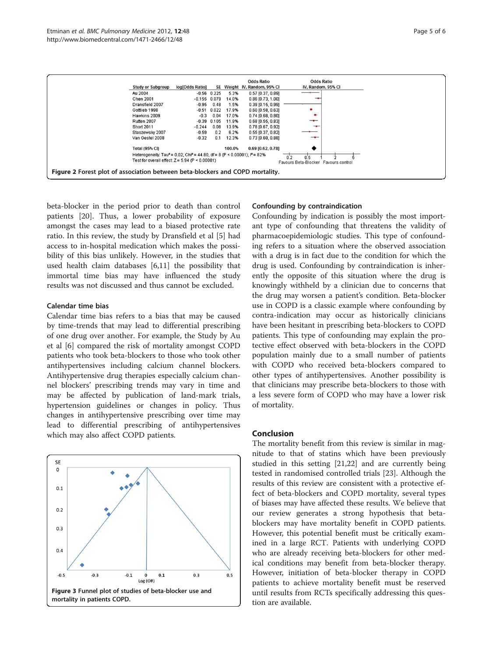<span id="page-4-0"></span>

beta-blocker in the period prior to death than control patients [\[20](#page-5-0)]. Thus, a lower probability of exposure amongst the cases may lead to a biased protective rate ratio. In this review, the study by Dransfield et al [\[5](#page-5-0)] had access to in-hospital medication which makes the possibility of this bias unlikely. However, in the studies that used health claim databases [\[6,11](#page-5-0)] the possibility that immortal time bias may have influenced the study results was not discussed and thus cannot be excluded.

## Calendar time bias

Calendar time bias refers to a bias that may be caused by time-trends that may lead to differential prescribing of one drug over another. For example, the Study by Au et al [[6\]](#page-5-0) compared the risk of mortality amongst COPD patients who took beta-blockers to those who took other antihypertensives including calcium channel blockers. Antihypertensive drug therapies especially calcium channel blockers' prescribing trends may vary in time and may be affected by publication of land-mark trials, hypertension guidelines or changes in policy. Thus changes in antihypertensive prescribing over time may lead to differential prescribing of antihypertensives which may also affect COPD patients.



#### Confounding by contraindication

Confounding by indication is possibly the most important type of confounding that threatens the validity of pharmacoepidemiologic studies. This type of confounding refers to a situation where the observed association with a drug is in fact due to the condition for which the drug is used. Confounding by contraindication is inherently the opposite of this situation where the drug is knowingly withheld by a clinician due to concerns that the drug may worsen a patient's condition. Beta-blocker use in COPD is a classic example where confounding by contra-indication may occur as historically clinicians have been hesitant in prescribing beta-blockers to COPD patients. This type of confounding may explain the protective effect observed with beta-blockers in the COPD population mainly due to a small number of patients with COPD who received beta-blockers compared to other types of antihypertensives. Another possibility is that clinicians may prescribe beta-blockers to those with a less severe form of COPD who may have a lower risk of mortality.

## Conclusion

The mortality benefit from this review is similar in magnitude to that of statins which have been previously studied in this setting [\[21,22\]](#page-5-0) and are currently being tested in randomised controlled trials [[23\]](#page-5-0). Although the results of this review are consistent with a protective effect of beta-blockers and COPD mortality, several types of biases may have affected these results. We believe that our review generates a strong hypothesis that betablockers may have mortality benefit in COPD patients. However, this potential benefit must be critically examined in a large RCT. Patients with underlying COPD who are already receiving beta-blockers for other medical conditions may benefit from beta-blocker therapy. However, initiation of beta-blocker therapy in COPD patients to achieve mortality benefit must be reserved until results from RCTs specifically addressing this question are available.